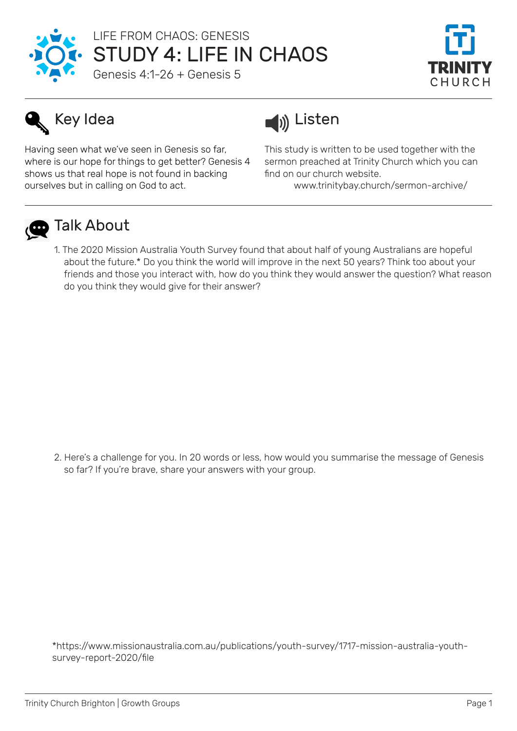

## STUDY 4: LIFE IN CHAOS LIFE FROM CHAOS: GENESIS

Genesis 4:1-26 + Genesis 5



# Key Idea

Having seen what we've seen in Genesis so far, where is our hope for things to get better? Genesis 4 shows us that real hope is not found in backing ourselves but in calling on God to act.



This study is written to be used together with the sermon preached at Trinity Church which you can find on our church website.

www.trinitybay.church/sermon-archive/



## **D** Talk About

1. The 2020 Mission Australia Youth Survey found that about half of young Australians are hopeful about the future.\* Do you think the world will improve in the next 50 years? Think too about your friends and those you interact with, how do you think they would answer the question? What reason do you think they would give for their answer?

2. Here's a challenge for you. In 20 words or less, how would you summarise the message of Genesis so far? If you're brave, share your answers with your group.

\*https://www.missionaustralia.com.au/publications/youth-survey/1717-mission-australia-youthsurvey-report-2020/file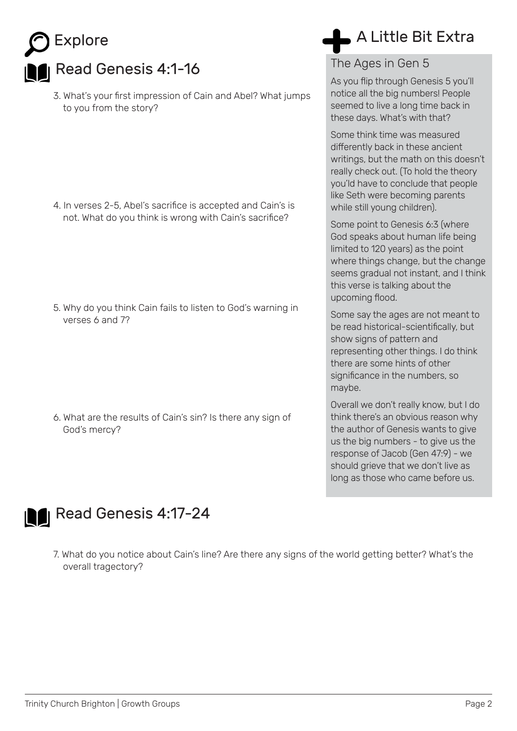| Explore                                                                                                                                                                                                   | A Little Bit Extra                                                                                                                                                                                                                                             |
|-----------------------------------------------------------------------------------------------------------------------------------------------------------------------------------------------------------|----------------------------------------------------------------------------------------------------------------------------------------------------------------------------------------------------------------------------------------------------------------|
| Read Genesis 4:1-16                                                                                                                                                                                       | The Ages in Gen 5                                                                                                                                                                                                                                              |
| 3. What's your first impression of Cain and Abel? What jumps<br>to you from the story?                                                                                                                    | As you flip through Genesis 5 you'll<br>notice all the big numbers! People<br>seemed to live a long time back in<br>these days. What's with that?                                                                                                              |
| 4. In verses 2-5, Abel's sacrifice is accepted and Cain's is<br>not. What do you think is wrong with Cain's sacrifice?<br>5. Why do you think Cain fails to listen to God's warning in<br>verses 6 and 7? | Some think time was measured<br>differently back in these ancient<br>writings, but the math on this doesn't<br>really check out. (To hold the theory<br>you'ld have to conclude that people<br>like Seth were becoming parents<br>while still young children). |
|                                                                                                                                                                                                           | Some point to Genesis 6:3 (where<br>God speaks about human life being<br>limited to 120 years) as the point<br>where things change, but the change<br>seems gradual not instant, and I think<br>this verse is talking about the<br>upcoming flood.             |
|                                                                                                                                                                                                           | Some say the ages are not meant to<br>be read historical-scientifically, but<br>show signs of pattern and<br>representing other things. I do think<br>there are some hints of other<br>significance in the numbers, so<br>maybe.                               |
| 6. What are the results of Cain's sin? Is there any sign of<br>God's mercy?                                                                                                                               | Overall we don't really know, but I do<br>think there's an obvious reason why<br>the author of Genesis wants to give<br>us the big numbers - to give us the<br>response of Jacob (Gen 47:9) - we<br>should grieve that we don't live as                        |



7. What do you notice about Cain's line? Are there any signs of the world getting better? What's the overall tragectory?

long as those who came before us.